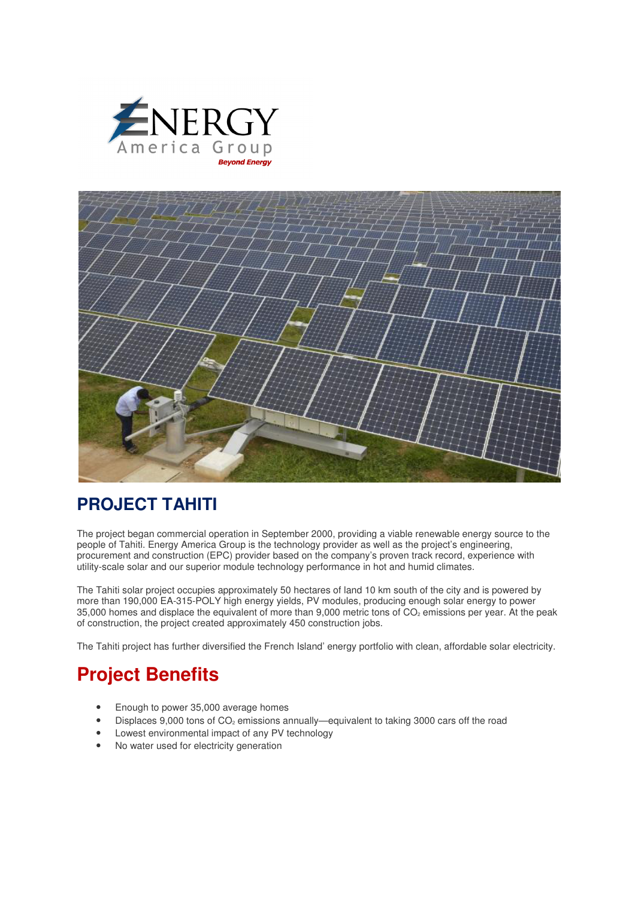



## **PROJECT TAHITI**

The project began commercial operation in September 2000, providing a viable renewable energy source to the people of Tahiti. Energy America Group is the technology provider as well as the project's engineering, procurement and construction (EPC) provider based on the company's proven track record, experience with utility-scale solar and our superior module technology performance in hot and humid climates.

The Tahiti solar project occupies approximately 50 hectares of land 10 km south of the city and is powered by more than 190,000 EA-315-POLY high energy yields, PV modules, producing enough solar energy to power 35,000 homes and displace the equivalent of more than 9,000 metric tons of CO<sub>2</sub> emissions per year. At the peak of construction, the project created approximately 450 construction jobs.

The Tahiti project has further diversified the French Island' energy portfolio with clean, affordable solar electricity.

## **Project Benefits**

- Enough to power 35,000 average homes
- Displaces 9,000 tons of  $CO<sub>2</sub>$  emissions annually—equivalent to taking 3000 cars off the road
- Lowest environmental impact of any PV technology
- No water used for electricity generation